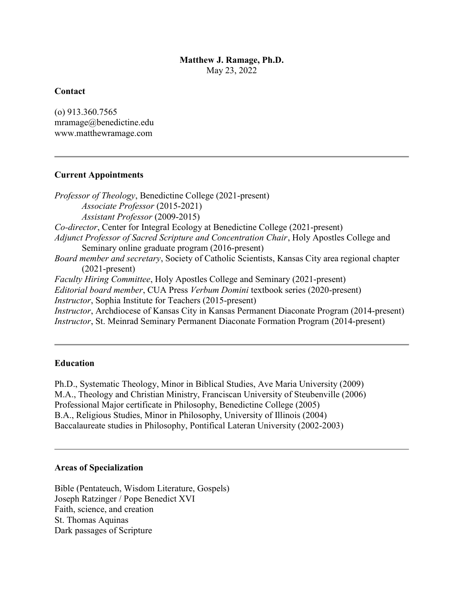## Matthew J. Ramage, Ph.D. May 23, 2022

## **Contact**

(o) 913.360.7565 mramage@benedictine.edu www.matthewramage.com

## Current Appointments

Professor of Theology, Benedictine College (2021-present) Associate Professor (2015-2021) Assistant Professor (2009-2015) Co-director, Center for Integral Ecology at Benedictine College (2021-present) Adjunct Professor of Sacred Scripture and Concentration Chair, Holy Apostles College and Seminary online graduate program (2016-present) Board member and secretary, Society of Catholic Scientists, Kansas City area regional chapter (2021-present) Faculty Hiring Committee, Holy Apostles College and Seminary (2021-present) Editorial board member, CUA Press Verbum Domini textbook series (2020-present) Instructor, Sophia Institute for Teachers (2015-present) Instructor, Archdiocese of Kansas City in Kansas Permanent Diaconate Program (2014-present) Instructor, St. Meinrad Seminary Permanent Diaconate Formation Program (2014-present)

# Education

Ph.D., Systematic Theology, Minor in Biblical Studies, Ave Maria University (2009) M.A., Theology and Christian Ministry, Franciscan University of Steubenville (2006) Professional Major certificate in Philosophy, Benedictine College (2005) B.A., Religious Studies, Minor in Philosophy, University of Illinois (2004) Baccalaureate studies in Philosophy, Pontifical Lateran University (2002-2003)

### Areas of Specialization

Bible (Pentateuch, Wisdom Literature, Gospels) Joseph Ratzinger / Pope Benedict XVI Faith, science, and creation St. Thomas Aquinas Dark passages of Scripture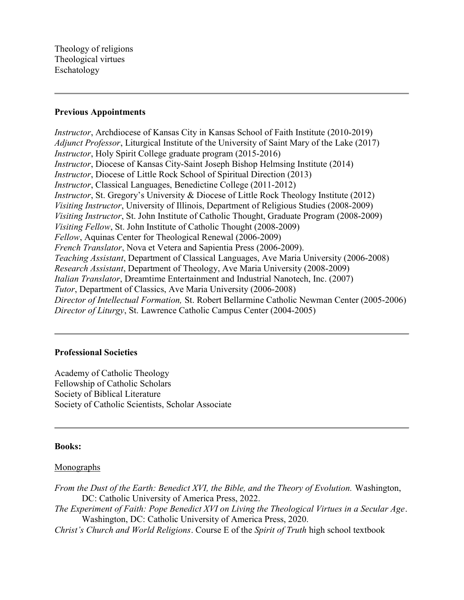#### Previous Appointments

Instructor, Archdiocese of Kansas City in Kansas School of Faith Institute (2010-2019) Adjunct Professor, Liturgical Institute of the University of Saint Mary of the Lake (2017) Instructor, Holy Spirit College graduate program (2015-2016) Instructor, Diocese of Kansas City-Saint Joseph Bishop Helmsing Institute (2014) Instructor, Diocese of Little Rock School of Spiritual Direction (2013) Instructor, Classical Languages, Benedictine College (2011-2012) Instructor, St. Gregory's University & Diocese of Little Rock Theology Institute (2012) Visiting Instructor, University of Illinois, Department of Religious Studies (2008-2009) Visiting Instructor, St. John Institute of Catholic Thought, Graduate Program (2008-2009) Visiting Fellow, St. John Institute of Catholic Thought (2008-2009) Fellow, Aquinas Center for Theological Renewal (2006-2009) French Translator, Nova et Vetera and Sapientia Press (2006-2009). Teaching Assistant, Department of Classical Languages, Ave Maria University (2006-2008) Research Assistant, Department of Theology, Ave Maria University (2008-2009) Italian Translator, Dreamtime Entertainment and Industrial Nanotech, Inc. (2007) Tutor, Department of Classics, Ave Maria University (2006-2008) Director of Intellectual Formation, St. Robert Bellarmine Catholic Newman Center (2005-2006) Director of Liturgy, St. Lawrence Catholic Campus Center (2004-2005)

### Professional Societies

Academy of Catholic Theology Fellowship of Catholic Scholars Society of Biblical Literature Society of Catholic Scientists, Scholar Associate

### Books:

### Monographs

From the Dust of the Earth: Benedict XVI, the Bible, and the Theory of Evolution. Washington, DC: Catholic University of America Press, 2022. The Experiment of Faith: Pope Benedict XVI on Living the Theological Virtues in a Secular Age. Washington, DC: Catholic University of America Press, 2020.

Christ's Church and World Religions. Course E of the Spirit of Truth high school textbook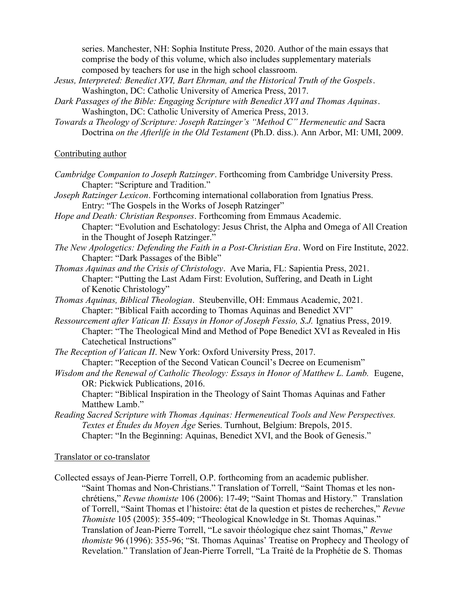series. Manchester, NH: Sophia Institute Press, 2020. Author of the main essays that comprise the body of this volume, which also includes supplementary materials composed by teachers for use in the high school classroom.

- Jesus, Interpreted: Benedict XVI, Bart Ehrman, and the Historical Truth of the Gospels. Washington, DC: Catholic University of America Press, 2017.
- Dark Passages of the Bible: Engaging Scripture with Benedict XVI and Thomas Aquinas. Washington, DC: Catholic University of America Press, 2013.
- Towards a Theology of Scripture: Joseph Ratzinger's "Method C" Hermeneutic and Sacra Doctrina on the Afterlife in the Old Testament (Ph.D. diss.). Ann Arbor, MI: UMI, 2009.

## Contributing author

- Cambridge Companion to Joseph Ratzinger. Forthcoming from Cambridge University Press. Chapter: "Scripture and Tradition."
- Joseph Ratzinger Lexicon. Forthcoming international collaboration from Ignatius Press. Entry: "The Gospels in the Works of Joseph Ratzinger"
- Hope and Death: Christian Responses. Forthcoming from Emmaus Academic. Chapter: "Evolution and Eschatology: Jesus Christ, the Alpha and Omega of All Creation in the Thought of Joseph Ratzinger."
- The New Apologetics: Defending the Faith in a Post-Christian Era. Word on Fire Institute, 2022. Chapter: "Dark Passages of the Bible"
- Thomas Aquinas and the Crisis of Christology. Ave Maria, FL: Sapientia Press, 2021. Chapter: "Putting the Last Adam First: Evolution, Suffering, and Death in Light of Kenotic Christology"
- Thomas Aquinas, Biblical Theologian. Steubenville, OH: Emmaus Academic, 2021. Chapter: "Biblical Faith according to Thomas Aquinas and Benedict XVI"
- Ressourcement after Vatican II: Essays in Honor of Joseph Fessio, S.J. Ignatius Press, 2019. Chapter: "The Theological Mind and Method of Pope Benedict XVI as Revealed in His Catechetical Instructions"
- The Reception of Vatican II. New York: Oxford University Press, 2017. Chapter: "Reception of the Second Vatican Council's Decree on Ecumenism"
- Wisdom and the Renewal of Catholic Theology: Essays in Honor of Matthew L. Lamb. Eugene, OR: Pickwick Publications, 2016.
	- Chapter: "Biblical Inspiration in the Theology of Saint Thomas Aquinas and Father Matthew Lamb."
- Reading Sacred Scripture with Thomas Aquinas: Hermeneutical Tools and New Perspectives. Textes et Études du Moyen Âge Series. Turnhout, Belgium: Brepols, 2015. Chapter: "In the Beginning: Aquinas, Benedict XVI, and the Book of Genesis."

### Translator or co-translator

Collected essays of Jean-Pierre Torrell, O.P. forthcoming from an academic publisher. "Saint Thomas and Non-Christians." Translation of Torrell, "Saint Thomas et les nonchrétiens," Revue thomiste 106 (2006): 17-49; "Saint Thomas and History." Translation of Torrell, "Saint Thomas et l'histoire: état de la question et pistes de recherches," Revue Thomiste 105 (2005): 355-409; "Theological Knowledge in St. Thomas Aquinas." Translation of Jean-Pierre Torrell, "Le savoir théologique chez saint Thomas," Revue thomiste 96 (1996): 355-96; "St. Thomas Aquinas' Treatise on Prophecy and Theology of Revelation." Translation of Jean-Pierre Torrell, "La Traité de la Prophétie de S. Thomas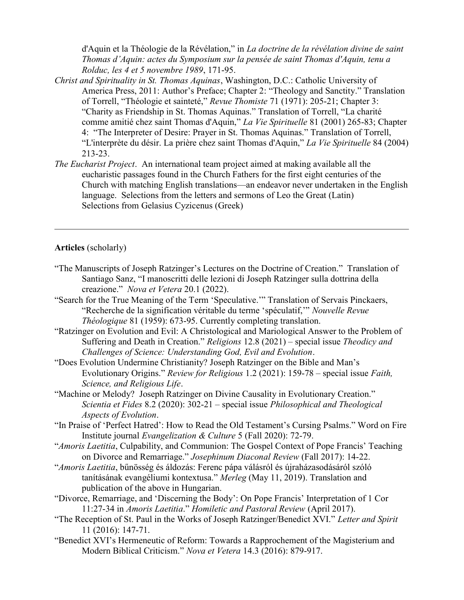d'Aquin et la Théologie de la Révélation," in La doctrine de la révélation divine de saint Thomas d'Aquin: actes du Symposium sur la pensée de saint Thomas d'Aquin, tenu a Rolduc, les 4 et 5 novembre 1989, 171-95.

- Christ and Spirituality in St. Thomas Aquinas, Washington, D.C.: Catholic University of America Press, 2011: Author's Preface; Chapter 2: "Theology and Sanctity." Translation of Torrell, "Théologie et sainteté," Revue Thomiste 71 (1971): 205-21; Chapter 3: "Charity as Friendship in St. Thomas Aquinas." Translation of Torrell, "La charité comme amitié chez saint Thomas d'Aquin," La Vie Spirituelle 81 (2001) 265-83; Chapter 4: "The Interpreter of Desire: Prayer in St. Thomas Aquinas." Translation of Torrell, "L'interprète du désir. La prière chez saint Thomas d'Aquin," La Vie Spirituelle 84 (2004) 213-23.
- The Eucharist Project. An international team project aimed at making available all the eucharistic passages found in the Church Fathers for the first eight centuries of the Church with matching English translations—an endeavor never undertaken in the English language. Selections from the letters and sermons of Leo the Great (Latin) Selections from Gelasius Cyzicenus (Greek)

### Articles (scholarly)

- "The Manuscripts of Joseph Ratzinger's Lectures on the Doctrine of Creation." Translation of Santiago Sanz, "I manoscritti delle lezioni di Joseph Ratzinger sulla dottrina della creazione." Nova et Vetera 20.1 (2022).
- "Search for the True Meaning of the Term 'Speculative.'" Translation of Servais Pinckaers, "Recherche de la signification véritable du terme 'spéculatif,'" Nouvelle Revue Théologique 81 (1959): 673-95. Currently completing translation.
- "Ratzinger on Evolution and Evil: A Christological and Mariological Answer to the Problem of Suffering and Death in Creation." Religions 12.8 (2021) – special issue Theodicy and Challenges of Science: Understanding God, Evil and Evolution.
- "Does Evolution Undermine Christianity? Joseph Ratzinger on the Bible and Man's Evolutionary Origins." Review for Religious 1.2 (2021): 159-78 – special issue Faith, Science, and Religious Life.
- "Machine or Melody? Joseph Ratzinger on Divine Causality in Evolutionary Creation." Scientia et Fides 8.2 (2020): 302-21 – special issue Philosophical and Theological Aspects of Evolution.
- "In Praise of 'Perfect Hatred': How to Read the Old Testament's Cursing Psalms." Word on Fire Institute journal Evangelization & Culture 5 (Fall 2020): 72-79.
- "Amoris Laetitia, Culpability, and Communion: The Gospel Context of Pope Francis' Teaching on Divorce and Remarriage." Josephinum Diaconal Review (Fall 2017): 14-22.
- "Amoris Laetitia, bűnösség és áldozás: Ferenc pápa válásról és újraházasodásáról szóló tanításának evangéliumi kontextusa." Merleg (May 11, 2019). Translation and publication of the above in Hungarian.
- "Divorce, Remarriage, and 'Discerning the Body': On Pope Francis' Interpretation of 1 Cor 11:27-34 in Amoris Laetitia." Homiletic and Pastoral Review (April 2017).
- "The Reception of St. Paul in the Works of Joseph Ratzinger/Benedict XVI." Letter and Spirit 11 (2016): 147-71.
- "Benedict XVI's Hermeneutic of Reform: Towards a Rapprochement of the Magisterium and Modern Biblical Criticism." Nova et Vetera 14.3 (2016): 879-917.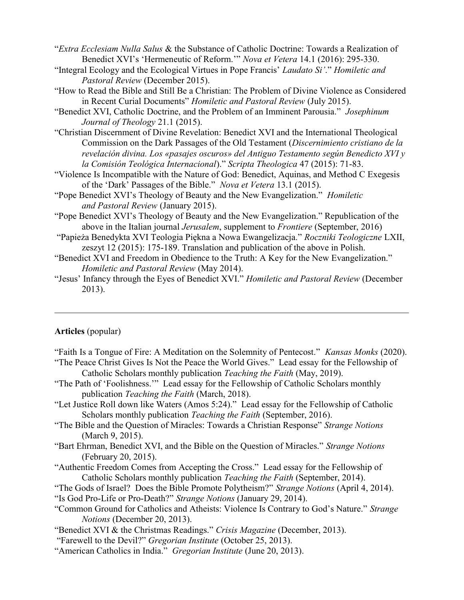"Extra Ecclesiam Nulla Salus & the Substance of Catholic Doctrine: Towards a Realization of Benedict XVI's 'Hermeneutic of Reform.'" Nova et Vetera 14.1 (2016): 295-330.

- "Integral Ecology and the Ecological Virtues in Pope Francis' Laudato Si'." Homiletic and Pastoral Review (December 2015).
- "How to Read the Bible and Still Be a Christian: The Problem of Divine Violence as Considered in Recent Curial Documents" Homiletic and Pastoral Review (July 2015).
- "Benedict XVI, Catholic Doctrine, and the Problem of an Imminent Parousia." Josephinum Journal of Theology 21.1 (2015).
- "Christian Discernment of Divine Revelation: Benedict XVI and the International Theological Commission on the Dark Passages of the Old Testament (Discernimiento cristiano de la revelación divina. Los «pasajes oscuros» del Antiguo Testamento según Benedicto XVI y la Comisión Teológica Internacional)." Scripta Theologica 47 (2015): 71-83.
- "Violence Is Incompatible with the Nature of God: Benedict, Aquinas, and Method C Exegesis of the 'Dark' Passages of the Bible." Nova et Vetera 13.1 (2015).
- "Pope Benedict XVI's Theology of Beauty and the New Evangelization." *Homiletic* and Pastoral Review (January 2015).
- "Pope Benedict XVI's Theology of Beauty and the New Evangelization." Republication of the above in the Italian journal *Jerusalem*, supplement to *Frontiere* (September, 2016)
- "Papieża Benedykta XVI Teologia Piękna a Nowa Ewangelizacja." Roczniki Teologiczne LXII, zeszyt 12 (2015): 175-189. Translation and publication of the above in Polish.
- "Benedict XVI and Freedom in Obedience to the Truth: A Key for the New Evangelization." Homiletic and Pastoral Review (May 2014).
- "Jesus' Infancy through the Eyes of Benedict XVI." Homiletic and Pastoral Review (December 2013).

#### Articles (popular)

- "Faith Is a Tongue of Fire: A Meditation on the Solemnity of Pentecost." Kansas Monks (2020). "The Peace Christ Gives Is Not the Peace the World Gives." Lead essay for the Fellowship of
- Catholic Scholars monthly publication Teaching the Faith (May, 2019).
- "The Path of 'Foolishness.'" Lead essay for the Fellowship of Catholic Scholars monthly publication *Teaching the Faith* (March, 2018).
- "Let Justice Roll down like Waters (Amos 5:24)." Lead essay for the Fellowship of Catholic Scholars monthly publication *Teaching the Faith* (September, 2016).
- "The Bible and the Question of Miracles: Towards a Christian Response" Strange Notions (March 9, 2015).
- "Bart Ehrman, Benedict XVI, and the Bible on the Question of Miracles." Strange Notions (February 20, 2015).
- "Authentic Freedom Comes from Accepting the Cross." Lead essay for the Fellowship of Catholic Scholars monthly publication Teaching the Faith (September, 2014).
- "The Gods of Israel? Does the Bible Promote Polytheism?" Strange Notions (April 4, 2014).
- "Is God Pro-Life or Pro-Death?" Strange Notions (January 29, 2014).
- "Common Ground for Catholics and Atheists: Violence Is Contrary to God's Nature." Strange Notions (December 20, 2013).
- "Benedict XVI & the Christmas Readings." Crisis Magazine (December, 2013).
- "Farewell to the Devil?" Gregorian Institute (October 25, 2013).
- "American Catholics in India." Gregorian Institute (June 20, 2013).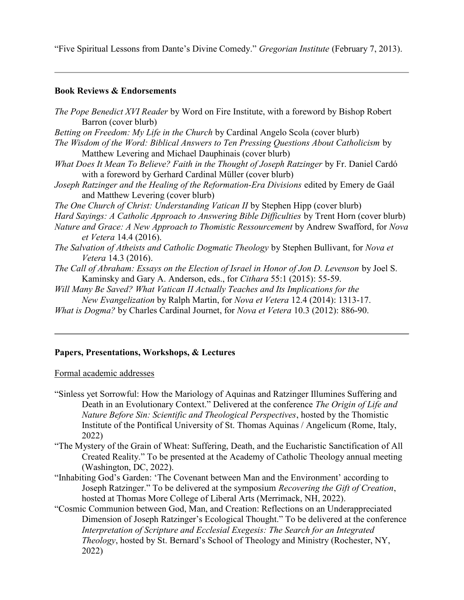"Five Spiritual Lessons from Dante's Divine Comedy." Gregorian Institute (February 7, 2013).

### Book Reviews & Endorsements

| <i>The Pope Benedict XVI Reader</i> by Word on Fire Institute, with a foreword by Bishop Robert<br>Barron (cover blurb)                                                                                                           |
|-----------------------------------------------------------------------------------------------------------------------------------------------------------------------------------------------------------------------------------|
| <i>Betting on Freedom: My Life in the Church by Cardinal Angelo Scola (cover blurb)</i>                                                                                                                                           |
| The Wisdom of the Word: Biblical Answers to Ten Pressing Questions About Catholicism by<br>Matthew Levering and Michael Dauphinais (cover blurb)                                                                                  |
| What Does It Mean To Believe? Faith in the Thought of Joseph Ratzinger by Fr. Daniel Cardó<br>with a foreword by Gerhard Cardinal Müller (cover blurb)                                                                            |
| Joseph Ratzinger and the Healing of the Reformation-Era Divisions edited by Emery de Gaál<br>and Matthew Levering (cover blurb)                                                                                                   |
| <i>The One Church of Christ: Understanding Vatican II</i> by Stephen Hipp (cover blurb)                                                                                                                                           |
| <i>Hard Sayings: A Catholic Approach to Answering Bible Difficulties</i> by Trent Horn (cover blurb)<br>Nature and Grace: A New Approach to Thomistic Ressourcement by Andrew Swafford, for Nova<br><i>et Vetera</i> 14.4 (2016). |
| <i>The Salvation of Atheists and Catholic Dogmatic Theology by Stephen Bullivant, for Nova et</i><br><i>Vetera</i> 14.3 (2016).                                                                                                   |
| The Call of Abraham: Essays on the Election of Israel in Honor of Jon D. Levenson by Joel S.<br>Kaminsky and Gary A. Anderson, eds., for <i>Cithara</i> 55:1 (2015): 55-59.                                                       |
| Will Many Be Saved? What Vatican II Actually Teaches and Its Implications for the                                                                                                                                                 |
| <i>New Evangelization</i> by Ralph Martin, for <i>Nova et Vetera</i> 12.4 (2014): 1313-17.                                                                                                                                        |
| <i>What is Dogma?</i> by Charles Cardinal Journet, for <i>Nova et Vetera</i> 10.3 (2012): 886-90.                                                                                                                                 |
|                                                                                                                                                                                                                                   |

### Papers, Presentations, Workshops, & Lectures

Formal academic addresses

- "Sinless yet Sorrowful: How the Mariology of Aquinas and Ratzinger Illumines Suffering and Death in an Evolutionary Context." Delivered at the conference The Origin of Life and Nature Before Sin: Scientific and Theological Perspectives, hosted by the Thomistic Institute of the Pontifical University of St. Thomas Aquinas / Angelicum (Rome, Italy, 2022)
- "The Mystery of the Grain of Wheat: Suffering, Death, and the Eucharistic Sanctification of All Created Reality." To be presented at the Academy of Catholic Theology annual meeting (Washington, DC, 2022).
- "Inhabiting God's Garden: 'The Covenant between Man and the Environment' according to Joseph Ratzinger." To be delivered at the symposium Recovering the Gift of Creation, hosted at Thomas More College of Liberal Arts (Merrimack, NH, 2022).
- "Cosmic Communion between God, Man, and Creation: Reflections on an Underappreciated Dimension of Joseph Ratzinger's Ecological Thought." To be delivered at the conference Interpretation of Scripture and Ecclesial Exegesis: The Search for an Integrated Theology, hosted by St. Bernard's School of Theology and Ministry (Rochester, NY, 2022)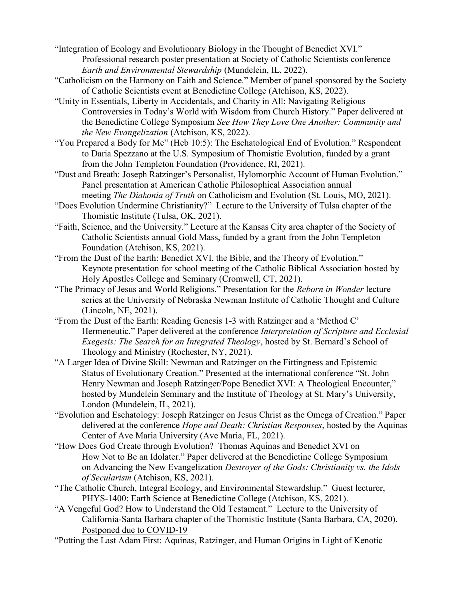- "Integration of Ecology and Evolutionary Biology in the Thought of Benedict XVI." Professional research poster presentation at Society of Catholic Scientists conference Earth and Environmental Stewardship (Mundelein, IL, 2022).
- "Catholicism on the Harmony on Faith and Science." Member of panel sponsored by the Society of Catholic Scientists event at Benedictine College (Atchison, KS, 2022).
- "Unity in Essentials, Liberty in Accidentals, and Charity in All: Navigating Religious Controversies in Today's World with Wisdom from Church History." Paper delivered at the Benedictine College Symposium See How They Love One Another: Community and the New Evangelization (Atchison, KS, 2022).
- "You Prepared a Body for Me" (Heb 10:5): The Eschatological End of Evolution." Respondent to Daria Spezzano at the U.S. Symposium of Thomistic Evolution, funded by a grant from the John Templeton Foundation (Providence, RI, 2021).
- "Dust and Breath: Joseph Ratzinger's Personalist, Hylomorphic Account of Human Evolution." Panel presentation at American Catholic Philosophical Association annual meeting *The Diakonia of Truth* on Catholicism and Evolution (St. Louis, MO, 2021).
- "Does Evolution Undermine Christianity?" Lecture to the University of Tulsa chapter of the Thomistic Institute (Tulsa, OK, 2021).
- "Faith, Science, and the University." Lecture at the Kansas City area chapter of the Society of Catholic Scientists annual Gold Mass, funded by a grant from the John Templeton Foundation (Atchison, KS, 2021).
- "From the Dust of the Earth: Benedict XVI, the Bible, and the Theory of Evolution." Keynote presentation for school meeting of the Catholic Biblical Association hosted by Holy Apostles College and Seminary (Cromwell, CT, 2021).
- "The Primacy of Jesus and World Religions." Presentation for the Reborn in Wonder lecture series at the University of Nebraska Newman Institute of Catholic Thought and Culture (Lincoln, NE, 2021).
- "From the Dust of the Earth: Reading Genesis 1-3 with Ratzinger and a 'Method C' Hermeneutic." Paper delivered at the conference *Interpretation of Scripture and Ecclesial* Exegesis: The Search for an Integrated Theology, hosted by St. Bernard's School of Theology and Ministry (Rochester, NY, 2021).
- "A Larger Idea of Divine Skill: Newman and Ratzinger on the Fittingness and Epistemic Status of Evolutionary Creation." Presented at the international conference "St. John Henry Newman and Joseph Ratzinger/Pope Benedict XVI: A Theological Encounter," hosted by Mundelein Seminary and the Institute of Theology at St. Mary's University, London (Mundelein, IL, 2021).
- "Evolution and Eschatology: Joseph Ratzinger on Jesus Christ as the Omega of Creation." Paper delivered at the conference *Hope and Death: Christian Responses*, hosted by the Aquinas Center of Ave Maria University (Ave Maria, FL, 2021).
- "How Does God Create through Evolution? Thomas Aquinas and Benedict XVI on How Not to Be an Idolater." Paper delivered at the Benedictine College Symposium on Advancing the New Evangelization Destroyer of the Gods: Christianity vs. the Idols of Secularism (Atchison, KS, 2021).
- "The Catholic Church, Integral Ecology, and Environmental Stewardship." Guest lecturer, PHYS-1400: Earth Science at Benedictine College (Atchison, KS, 2021).
- "A Vengeful God? How to Understand the Old Testament." Lecture to the University of California-Santa Barbara chapter of the Thomistic Institute (Santa Barbara, CA, 2020). Postponed due to COVID-19
- "Putting the Last Adam First: Aquinas, Ratzinger, and Human Origins in Light of Kenotic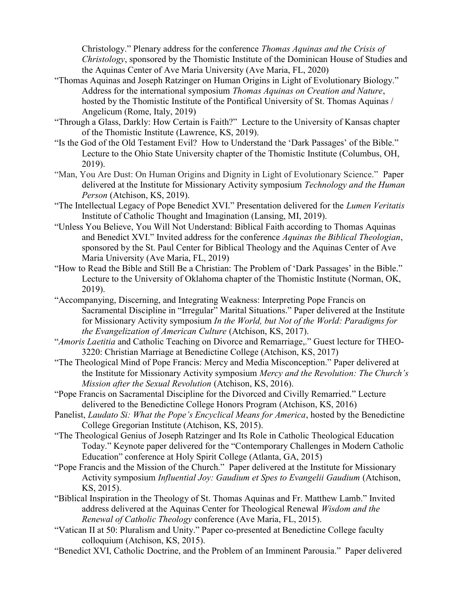Christology." Plenary address for the conference Thomas Aquinas and the Crisis of Christology, sponsored by the Thomistic Institute of the Dominican House of Studies and the Aquinas Center of Ave Maria University (Ave Maria, FL, 2020)

- "Thomas Aquinas and Joseph Ratzinger on Human Origins in Light of Evolutionary Biology." Address for the international symposium Thomas Aquinas on Creation and Nature, hosted by the Thomistic Institute of the Pontifical University of St. Thomas Aquinas / Angelicum (Rome, Italy, 2019)
- "Through a Glass, Darkly: How Certain is Faith?" Lecture to the University of Kansas chapter of the Thomistic Institute (Lawrence, KS, 2019).
- "Is the God of the Old Testament Evil? How to Understand the 'Dark Passages' of the Bible." Lecture to the Ohio State University chapter of the Thomistic Institute (Columbus, OH, 2019).
- "Man, You Are Dust: On Human Origins and Dignity in Light of Evolutionary Science." Paper delivered at the Institute for Missionary Activity symposium Technology and the Human Person (Atchison, KS, 2019).
- "The Intellectual Legacy of Pope Benedict XVI." Presentation delivered for the Lumen Veritatis Institute of Catholic Thought and Imagination (Lansing, MI, 2019).
- "Unless You Believe, You Will Not Understand: Biblical Faith according to Thomas Aquinas and Benedict XVI." Invited address for the conference Aquinas the Biblical Theologian, sponsored by the St. Paul Center for Biblical Theology and the Aquinas Center of Ave Maria University (Ave Maria, FL, 2019)
- "How to Read the Bible and Still Be a Christian: The Problem of 'Dark Passages' in the Bible." Lecture to the University of Oklahoma chapter of the Thomistic Institute (Norman, OK, 2019).
- "Accompanying, Discerning, and Integrating Weakness: Interpreting Pope Francis on Sacramental Discipline in "Irregular" Marital Situations." Paper delivered at the Institute for Missionary Activity symposium In the World, but Not of the World: Paradigms for the Evangelization of American Culture (Atchison, KS, 2017).
- "Amoris Laetitia and Catholic Teaching on Divorce and Remarriage,." Guest lecture for THEO-3220: Christian Marriage at Benedictine College (Atchison, KS, 2017)
- "The Theological Mind of Pope Francis: Mercy and Media Misconception." Paper delivered at the Institute for Missionary Activity symposium Mercy and the Revolution: The Church's Mission after the Sexual Revolution (Atchison, KS, 2016).
- "Pope Francis on Sacramental Discipline for the Divorced and Civilly Remarried." Lecture delivered to the Benedictine College Honors Program (Atchison, KS, 2016)
- Panelist, Laudato Si: What the Pope's Encyclical Means for America, hosted by the Benedictine College Gregorian Institute (Atchison, KS, 2015).
- "The Theological Genius of Joseph Ratzinger and Its Role in Catholic Theological Education Today." Keynote paper delivered for the "Contemporary Challenges in Modern Catholic Education" conference at Holy Spirit College (Atlanta, GA, 2015)
- "Pope Francis and the Mission of the Church." Paper delivered at the Institute for Missionary Activity symposium Influential Joy: Gaudium et Spes to Evangelii Gaudium (Atchison, KS, 2015).
- "Biblical Inspiration in the Theology of St. Thomas Aquinas and Fr. Matthew Lamb." Invited address delivered at the Aquinas Center for Theological Renewal Wisdom and the Renewal of Catholic Theology conference (Ave Maria, FL, 2015).
- "Vatican II at 50: Pluralism and Unity." Paper co-presented at Benedictine College faculty colloquium (Atchison, KS, 2015).
- "Benedict XVI, Catholic Doctrine, and the Problem of an Imminent Parousia." Paper delivered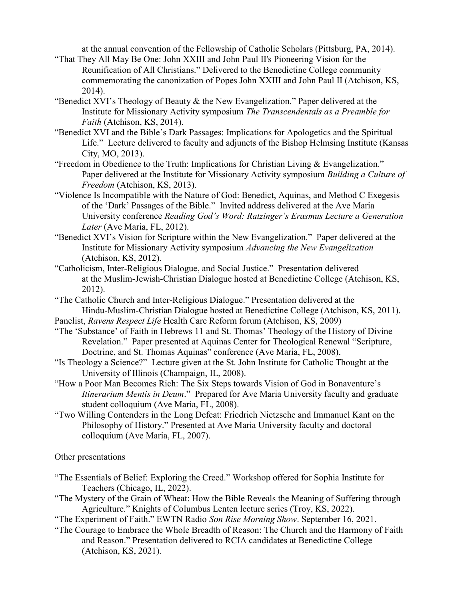at the annual convention of the Fellowship of Catholic Scholars (Pittsburg, PA, 2014).

- "That They All May Be One: John XXIII and John Paul II's Pioneering Vision for the Reunification of All Christians." Delivered to the Benedictine College community commemorating the canonization of Popes John XXIII and John Paul II (Atchison, KS, 2014).
- "Benedict XVI's Theology of Beauty & the New Evangelization." Paper delivered at the Institute for Missionary Activity symposium The Transcendentals as a Preamble for Faith (Atchison, KS, 2014).
- "Benedict XVI and the Bible's Dark Passages: Implications for Apologetics and the Spiritual Life." Lecture delivered to faculty and adjuncts of the Bishop Helmsing Institute (Kansas City, MO, 2013).
- "Freedom in Obedience to the Truth: Implications for Christian Living & Evangelization." Paper delivered at the Institute for Missionary Activity symposium Building a Culture of Freedom (Atchison, KS, 2013).
- "Violence Is Incompatible with the Nature of God: Benedict, Aquinas, and Method C Exegesis of the 'Dark' Passages of the Bible." Invited address delivered at the Ave Maria University conference Reading God's Word: Ratzinger's Erasmus Lecture a Generation Later (Ave Maria, FL, 2012).
- "Benedict XVI's Vision for Scripture within the New Evangelization." Paper delivered at the Institute for Missionary Activity symposium Advancing the New Evangelization (Atchison, KS, 2012).
- "Catholicism, Inter-Religious Dialogue, and Social Justice." Presentation delivered at the Muslim-Jewish-Christian Dialogue hosted at Benedictine College (Atchison, KS, 2012).

"The Catholic Church and Inter-Religious Dialogue." Presentation delivered at the Hindu-Muslim-Christian Dialogue hosted at Benedictine College (Atchison, KS, 2011).

Panelist, Ravens Respect Life Health Care Reform forum (Atchison, KS, 2009)

"The 'Substance' of Faith in Hebrews 11 and St. Thomas' Theology of the History of Divine Revelation." Paper presented at Aquinas Center for Theological Renewal "Scripture, Doctrine, and St. Thomas Aquinas" conference (Ave Maria, FL, 2008).

"Is Theology a Science?" Lecture given at the St. John Institute for Catholic Thought at the University of Illinois (Champaign, IL, 2008).

- "How a Poor Man Becomes Rich: The Six Steps towards Vision of God in Bonaventure's Itinerarium Mentis in Deum." Prepared for Ave Maria University faculty and graduate student colloquium (Ave Maria, FL, 2008).
- "Two Willing Contenders in the Long Defeat: Friedrich Nietzsche and Immanuel Kant on the Philosophy of History." Presented at Ave Maria University faculty and doctoral colloquium (Ave Maria, FL, 2007).

# Other presentations

- "The Essentials of Belief: Exploring the Creed." Workshop offered for Sophia Institute for Teachers (Chicago, IL, 2022).
- "The Mystery of the Grain of Wheat: How the Bible Reveals the Meaning of Suffering through Agriculture." Knights of Columbus Lenten lecture series (Troy, KS, 2022).
- "The Experiment of Faith." EWTN Radio Son Rise Morning Show. September 16, 2021.
- "The Courage to Embrace the Whole Breadth of Reason: The Church and the Harmony of Faith and Reason." Presentation delivered to RCIA candidates at Benedictine College (Atchison, KS, 2021).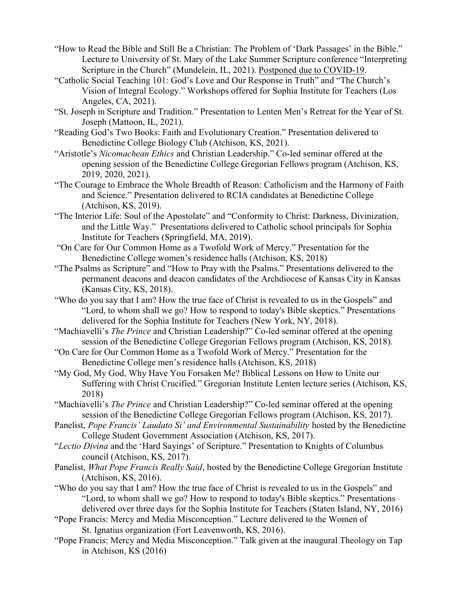- "How to Read the Bible and Still Be a Christian: The Problem of 'Dark Passages' in the Bible." Lecture to University of St. Mary of the Lake Summer Scripture conference "Interpreting Scripture in the Church" (Mundelein, IL, 2021). Postponed due to COVID-19.
- "Catholic Social Teaching 101: God's Love and Our Response in Truth" and "The Church's Vision of Integral Ecology." Workshops offered for Sophia Institute for Teachers (Los Angeles, CA, 2021).
- "St. Joseph in Scripture and Tradition." Presentation to Lenten Men's Retreat for the Year of St. Joseph (Mattoon, IL, 2021).
- "Reading God's Two Books: Faith and Evolutionary Creation." Presentation delivered to Benedictine College Biology Club (Atchison, KS, 2021).
- "Aristotle's Nicomachean Ethics and Christian Leadership." Co-led seminar offered at the opening session of the Benedictine College Gregorian Fellows program (Atchison, KS, 2019, 2020, 2021).
- "The Courage to Embrace the Whole Breadth of Reason: Catholicism and the Harmony of Faith and Science." Presentation delivered to RCIA candidates at Benedictine College (Atchison, KS, 2019).
- "The Interior Life: Soul of the Apostolate" and "Conformity to Christ: Darkness, Divinization, and the Little Way." Presentations delivered to Catholic school principals for Sophia Institute for Teachers (Springfield, MA, 2019).
- "On Care for Our Common Home as a Twofold Work of Mercy." Presentation for the Benedictine College women's residence halls (Atchison, KS, 2018)
- "The Psalms as Scripture" and "How to Pray with the Psalms." Presentations delivered to the permanent deacons and deacon candidates of the Archdiocese of Kansas City in Kansas (Kansas City, KS, 2018).
- "Who do you say that I am? How the true face of Christ is revealed to us in the Gospels" and "Lord, to whom shall we go? How to respond to today's Bible skeptics." Presentations delivered for the Sophia Institute for Teachers (New York, NY, 2018).
- "Machiavelli's The Prince and Christian Leadership?" Co-led seminar offered at the opening session of the Benedictine College Gregorian Fellows program (Atchison, KS, 2018).
- "On Care for Our Common Home as a Twofold Work of Mercy." Presentation for the Benedictine College men's residence halls (Atchison, KS, 2018)
- "My God, My God, Why Have You Forsaken Me? Biblical Lessons on How to Unite our Suffering with Christ Crucified." Gregorian Institute Lenten lecture series (Atchison, KS, 2018)
- "Machiavelli's *The Prince* and Christian Leadership?" Co-led seminar offered at the opening session of the Benedictine College Gregorian Fellows program (Atchison, KS, 2017).
- Panelist, Pope Francis' Laudato Si' and Environmental Sustainability hosted by the Benedictine College Student Government Association (Atchison, KS, 2017).
- "Lectio Divina and the 'Hard Sayings' of Scripture." Presentation to Knights of Columbus council (Atchison, KS, 2017).
- Panelist, What Pope Francis Really Said, hosted by the Benedictine College Gregorian Institute (Atchison, KS, 2016).
- "Who do you say that I am? How the true face of Christ is revealed to us in the Gospels" and "Lord, to whom shall we go? How to respond to today's Bible skeptics." Presentations delivered over three days for the Sophia Institute for Teachers (Staten Island, NY, 2016)
- "Pope Francis: Mercy and Media Misconception." Lecture delivered to the Women of St. Ignatius organization (Fort Leavenworth, KS, 2016).
- "Pope Francis: Mercy and Media Misconception." Talk given at the inaugural Theology on Tap in Atchison, KS (2016)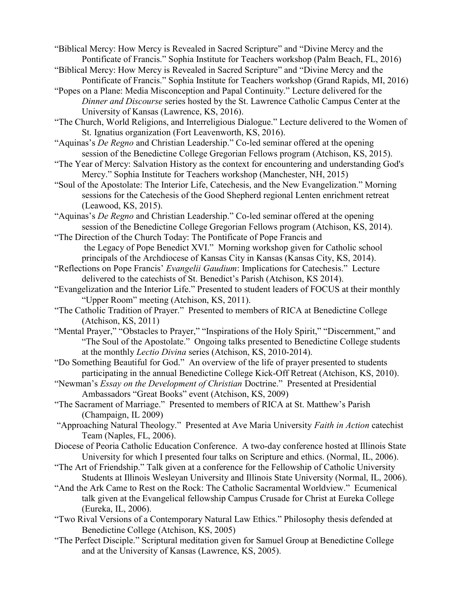"Biblical Mercy: How Mercy is Revealed in Sacred Scripture" and "Divine Mercy and the Pontificate of Francis." Sophia Institute for Teachers workshop (Palm Beach, FL, 2016)

- "Biblical Mercy: How Mercy is Revealed in Sacred Scripture" and "Divine Mercy and the Pontificate of Francis." Sophia Institute for Teachers workshop (Grand Rapids, MI, 2016)
- "Popes on a Plane: Media Misconception and Papal Continuity." Lecture delivered for the Dinner and Discourse series hosted by the St. Lawrence Catholic Campus Center at the University of Kansas (Lawrence, KS, 2016).
- "The Church, World Religions, and Interreligious Dialogue." Lecture delivered to the Women of St. Ignatius organization (Fort Leavenworth, KS, 2016).
- "Aquinas's De Regno and Christian Leadership." Co-led seminar offered at the opening session of the Benedictine College Gregorian Fellows program (Atchison, KS, 2015).
- "The Year of Mercy: Salvation History as the context for encountering and understanding God's Mercy." Sophia Institute for Teachers workshop (Manchester, NH, 2015)
- "Soul of the Apostolate: The Interior Life, Catechesis, and the New Evangelization." Morning sessions for the Catechesis of the Good Shepherd regional Lenten enrichment retreat (Leawood, KS, 2015).
- "Aquinas's *De Regno* and Christian Leadership." Co-led seminar offered at the opening session of the Benedictine College Gregorian Fellows program (Atchison, KS, 2014).
- "The Direction of the Church Today: The Pontificate of Pope Francis and the Legacy of Pope Benedict XVI." Morning workshop given for Catholic school principals of the Archdiocese of Kansas City in Kansas (Kansas City, KS, 2014).
- "Reflections on Pope Francis' Evangelii Gaudium: Implications for Catechesis." Lecture delivered to the catechists of St. Benedict's Parish (Atchison, KS 2014).
- "Evangelization and the Interior Life." Presented to student leaders of FOCUS at their monthly "Upper Room" meeting (Atchison, KS, 2011).
- "The Catholic Tradition of Prayer." Presented to members of RICA at Benedictine College (Atchison, KS, 2011)
- "Mental Prayer," "Obstacles to Prayer," "Inspirations of the Holy Spirit," "Discernment," and "The Soul of the Apostolate." Ongoing talks presented to Benedictine College students at the monthly Lectio Divina series (Atchison, KS, 2010-2014).
- "Do Something Beautiful for God." An overview of the life of prayer presented to students participating in the annual Benedictine College Kick-Off Retreat (Atchison, KS, 2010).
- "Newman's Essay on the Development of Christian Doctrine." Presented at Presidential Ambassadors "Great Books" event (Atchison, KS, 2009)
- "The Sacrament of Marriage." Presented to members of RICA at St. Matthew's Parish (Champaign, IL 2009)
- "Approaching Natural Theology." Presented at Ave Maria University Faith in Action catechist Team (Naples, FL, 2006).
- Diocese of Peoria Catholic Education Conference. A two-day conference hosted at Illinois State University for which I presented four talks on Scripture and ethics. (Normal, IL, 2006).
- "The Art of Friendship." Talk given at a conference for the Fellowship of Catholic University Students at Illinois Wesleyan University and Illinois State University (Normal, IL, 2006).
- "And the Ark Came to Rest on the Rock: The Catholic Sacramental Worldview." Ecumenical talk given at the Evangelical fellowship Campus Crusade for Christ at Eureka College (Eureka, IL, 2006).
- "Two Rival Versions of a Contemporary Natural Law Ethics." Philosophy thesis defended at Benedictine College (Atchison, KS, 2005)
- "The Perfect Disciple." Scriptural meditation given for Samuel Group at Benedictine College and at the University of Kansas (Lawrence, KS, 2005).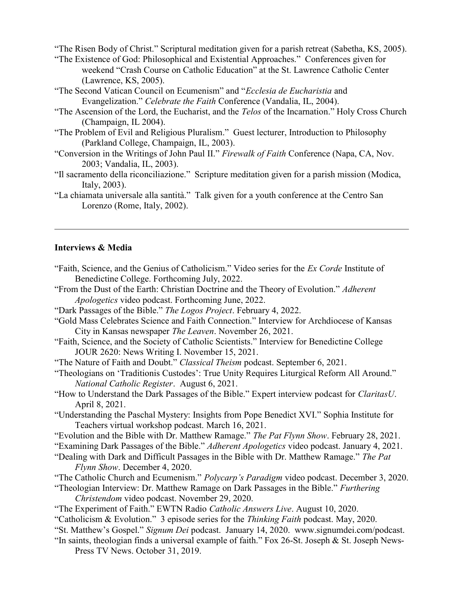"The Risen Body of Christ." Scriptural meditation given for a parish retreat (Sabetha, KS, 2005).

- "The Existence of God: Philosophical and Existential Approaches." Conferences given for weekend "Crash Course on Catholic Education" at the St. Lawrence Catholic Center (Lawrence, KS, 2005).
- "The Second Vatican Council on Ecumenism" and "Ecclesia de Eucharistia and Evangelization." Celebrate the Faith Conference (Vandalia, IL, 2004).
- "The Ascension of the Lord, the Eucharist, and the Telos of the Incarnation." Holy Cross Church (Champaign, IL 2004).
- "The Problem of Evil and Religious Pluralism." Guest lecturer, Introduction to Philosophy (Parkland College, Champaign, IL, 2003).
- "Conversion in the Writings of John Paul II." Firewalk of Faith Conference (Napa, CA, Nov. 2003; Vandalia, IL, 2003).
- "Il sacramento della riconciliazione." Scripture meditation given for a parish mission (Modica, Italy, 2003).
- "La chiamata universale alla santità." Talk given for a youth conference at the Centro San Lorenzo (Rome, Italy, 2002).

#### Interviews & Media

- "Faith, Science, and the Genius of Catholicism." Video series for the Ex Corde Institute of Benedictine College. Forthcoming July, 2022.
- "From the Dust of the Earth: Christian Doctrine and the Theory of Evolution." Adherent Apologetics video podcast. Forthcoming June, 2022.
- "Dark Passages of the Bible." The Logos Project. February 4, 2022.
- "Gold Mass Celebrates Science and Faith Connection." Interview for Archdiocese of Kansas City in Kansas newspaper The Leaven. November 26, 2021.
- "Faith, Science, and the Society of Catholic Scientists." Interview for Benedictine College JOUR 2620: News Writing I. November 15, 2021.
- "The Nature of Faith and Doubt." Classical Theism podcast. September 6, 2021.
- "Theologians on 'Traditionis Custodes': True Unity Requires Liturgical Reform All Around." National Catholic Register. August 6, 2021.
- "How to Understand the Dark Passages of the Bible." Expert interview podcast for ClaritasU. April 8, 2021.
- "Understanding the Paschal Mystery: Insights from Pope Benedict XVI." Sophia Institute for Teachers virtual workshop podcast. March 16, 2021.
- "Evolution and the Bible with Dr. Matthew Ramage." The Pat Flynn Show. February 28, 2021.
- "Examining Dark Passages of the Bible." Adherent Apologetics video podcast. January 4, 2021.
- "Dealing with Dark and Difficult Passages in the Bible with Dr. Matthew Ramage." The Pat Flynn Show. December 4, 2020.
- "The Catholic Church and Ecumenism." Polycarp's Paradigm video podcast. December 3, 2020.
- "Theologian Interview: Dr. Matthew Ramage on Dark Passages in the Bible." Furthering Christendom video podcast. November 29, 2020.
- "The Experiment of Faith." EWTN Radio Catholic Answers Live. August 10, 2020.
- "Catholicism & Evolution." 3 episode series for the Thinking Faith podcast. May, 2020.
- "St. Matthew's Gospel." Signum Dei podcast. January 14, 2020. www.signumdei.com/podcast.
- "In saints, theologian finds a universal example of faith." Fox 26-St. Joseph & St. Joseph News- Press TV News. October 31, 2019.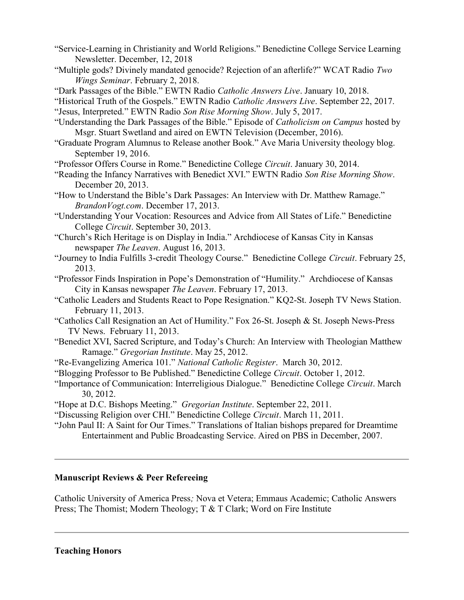- "Service-Learning in Christianity and World Religions." Benedictine College Service Learning Newsletter. December, 12, 2018
- "Multiple gods? Divinely mandated genocide? Rejection of an afterlife?" WCAT Radio Two Wings Seminar. February 2, 2018.
- "Dark Passages of the Bible." EWTN Radio Catholic Answers Live. January 10, 2018.
- "Historical Truth of the Gospels." EWTN Radio Catholic Answers Live. September 22, 2017.
- "Jesus, Interpreted." EWTN Radio Son Rise Morning Show. July 5, 2017.
- "Understanding the Dark Passages of the Bible." Episode of Catholicism on Campus hosted by Msgr. Stuart Swetland and aired on EWTN Television (December, 2016).
- "Graduate Program Alumnus to Release another Book." Ave Maria University theology blog. September 19, 2016.
- "Professor Offers Course in Rome." Benedictine College Circuit. January 30, 2014.
- "Reading the Infancy Narratives with Benedict XVI." EWTN Radio Son Rise Morning Show. December 20, 2013.
- "How to Understand the Bible's Dark Passages: An Interview with Dr. Matthew Ramage." BrandonVogt.com. December 17, 2013.
- "Understanding Your Vocation: Resources and Advice from All States of Life." Benedictine College Circuit. September 30, 2013.
- "Church's Rich Heritage is on Display in India." Archdiocese of Kansas City in Kansas newspaper The Leaven. August 16, 2013.
- "Journey to India Fulfills 3-credit Theology Course." Benedictine College Circuit. February 25, 2013.
- "Professor Finds Inspiration in Pope's Demonstration of "Humility." Archdiocese of Kansas City in Kansas newspaper The Leaven. February 17, 2013.
- "Catholic Leaders and Students React to Pope Resignation." KQ2-St. Joseph TV News Station. February 11, 2013.
- "Catholics Call Resignation an Act of Humility." Fox 26-St. Joseph & St. Joseph News-Press TV News. February 11, 2013.
- "Benedict XVI, Sacred Scripture, and Today's Church: An Interview with Theologian Matthew Ramage." Gregorian Institute. May 25, 2012.
- "Re-Evangelizing America 101." National Catholic Register. March 30, 2012.
- "Blogging Professor to Be Published." Benedictine College Circuit. October 1, 2012.
- "Importance of Communication: Interreligious Dialogue." Benedictine College Circuit. March 30, 2012.
- "Hope at D.C. Bishops Meeting." Gregorian Institute. September 22, 2011.
- "Discussing Religion over CHI." Benedictine College Circuit. March 11, 2011.
- "John Paul II: A Saint for Our Times." Translations of Italian bishops prepared for Dreamtime Entertainment and Public Broadcasting Service. Aired on PBS in December, 2007.

# Manuscript Reviews & Peer Refereeing

Catholic University of America Press; Nova et Vetera; Emmaus Academic; Catholic Answers Press; The Thomist; Modern Theology; T & T Clark; Word on Fire Institute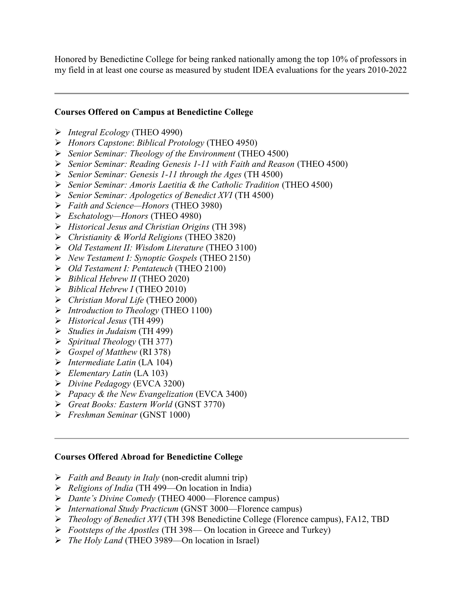Honored by Benedictine College for being ranked nationally among the top 10% of professors in my field in at least one course as measured by student IDEA evaluations for the years 2010-2022

### Courses Offered on Campus at Benedictine College

- $\triangleright$  Integral Ecology (THEO 4990)
- Honors Capstone: Biblical Protology (THEO 4950)
- $\triangleright$  Senior Seminar: Theology of the Environment (THEO 4500)
- Senior Seminar: Reading Genesis 1-11 with Faith and Reason (THEO 4500)
- $\triangleright$  Senior Seminar: Genesis 1-11 through the Ages (TH 4500)
- Senior Seminar: Amoris Laetitia & the Catholic Tradition (THEO 4500)
- $\triangleright$  Senior Seminar: Apologetics of Benedict XVI (TH 4500)
- Faith and Science—Honors (THEO 3980)
- $\triangleright$  Eschatology—Honors (THEO 4980)
- Historical Jesus and Christian Origins (TH 398)
- Christianity & World Religions (THEO 3820)
- Old Testament II: Wisdom Literature (THEO 3100)
- New Testament I: Synoptic Gospels (THEO 2150)
- Old Testament I: Pentateuch (THEO 2100)
- $\triangleright$  Biblical Hebrew II (THEO 2020)
- $\triangleright$  Biblical Hebrew I (THEO 2010)
- $\triangleright$  Christian Moral Life (THEO 2000)
- $\triangleright$  Introduction to Theology (THEO 1100)
- Historical Jesus (TH 499)
- $\triangleright$  Studies in Judaism (TH 499)
- $\triangleright$  Spiritual Theology (TH 377)
- $\triangleright$  Gospel of Matthew (RI 378)
- $\triangleright$  Intermediate Latin (LA 104)
- $\blacktriangleright$  Elementary Latin (LA 103)
- Divine Pedagogy (EVCA 3200)
- Papacy & the New Evangelization (EVCA 3400)
- Great Books: Eastern World (GNST 3770)
- Freshman Seminar (GNST 1000)

### Courses Offered Abroad for Benedictine College

- $\triangleright$  Faith and Beauty in Italy (non-credit alumni trip)
- $\triangleright$  Religions of India (TH 499—On location in India)
- $\triangleright$  Dante's Divine Comedy (THEO 4000—Florence campus)
- $\triangleright$  International Study Practicum (GNST 3000—Florence campus)
- $\triangleright$  Theology of Benedict XVI (TH 398 Benedictine College (Florence campus), FA12, TBD
- $\triangleright$  Footsteps of the Apostles (TH 398— On location in Greece and Turkey)
- The Holy Land (THEO 3989—On location in Israel)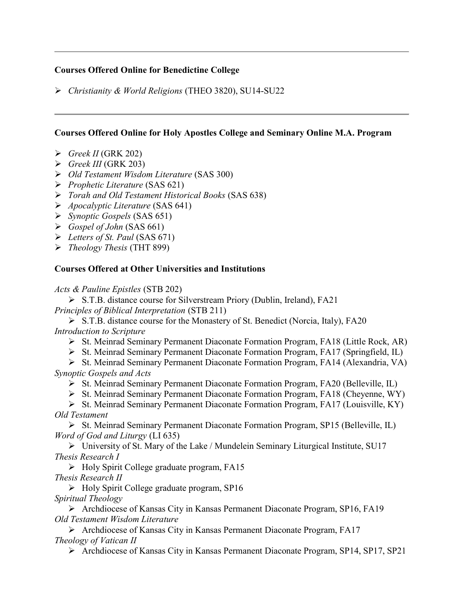### Courses Offered Online for Benedictine College

Christianity & World Religions (THEO 3820), SU14-SU22

### Courses Offered Online for Holy Apostles College and Seminary Online M.A. Program

- $\triangleright$  Greek II (GRK 202)
- $\triangleright$  Greek III (GRK 203)
- Old Testament Wisdom Literature (SAS 300)
- $\triangleright$  Prophetic Literature (SAS 621)
- Torah and Old Testament Historical Books (SAS 638)
- $\triangleright$  Apocalyptic Literature (SAS 641)
- $\triangleright$  Synoptic Gospels (SAS 651)
- $\triangleright$  Gospel of John (SAS 661)
- $\triangleright$  Letters of St. Paul (SAS 671)
- $\triangleright$  Theology Thesis (THT 899)

# Courses Offered at Other Universities and Institutions

Acts & Pauline Epistles (STB 202)

 S.T.B. distance course for Silverstream Priory (Dublin, Ireland), FA21 Principles of Biblical Interpretation (STB 211)

 S.T.B. distance course for the Monastery of St. Benedict (Norcia, Italy), FA20 Introduction to Scripture

St. Meinrad Seminary Permanent Diaconate Formation Program, FA18 (Little Rock, AR)

St. Meinrad Seminary Permanent Diaconate Formation Program, FA17 (Springfield, IL)

St. Meinrad Seminary Permanent Diaconate Formation Program, FA14 (Alexandria, VA) Synoptic Gospels and Acts

- St. Meinrad Seminary Permanent Diaconate Formation Program, FA20 (Belleville, IL)
- $\triangleright$  St. Meinrad Seminary Permanent Diaconate Formation Program, FA18 (Cheyenne, WY)

St. Meinrad Seminary Permanent Diaconate Formation Program, FA17 (Louisville, KY) Old Testament

 $\triangleright$  St. Meinrad Seminary Permanent Diaconate Formation Program, SP15 (Belleville, IL) Word of God and Liturgy (LI 635)

 University of St. Mary of the Lake / Mundelein Seminary Liturgical Institute, SU17 Thesis Research I

 $\triangleright$  Holy Spirit College graduate program, FA15 Thesis Research II

 $\triangleright$  Holy Spirit College graduate program, SP16

Spiritual Theology

 Archdiocese of Kansas City in Kansas Permanent Diaconate Program, SP16, FA19 Old Testament Wisdom Literature

 Archdiocese of Kansas City in Kansas Permanent Diaconate Program, FA17 Theology of Vatican II

Archdiocese of Kansas City in Kansas Permanent Diaconate Program, SP14, SP17, SP21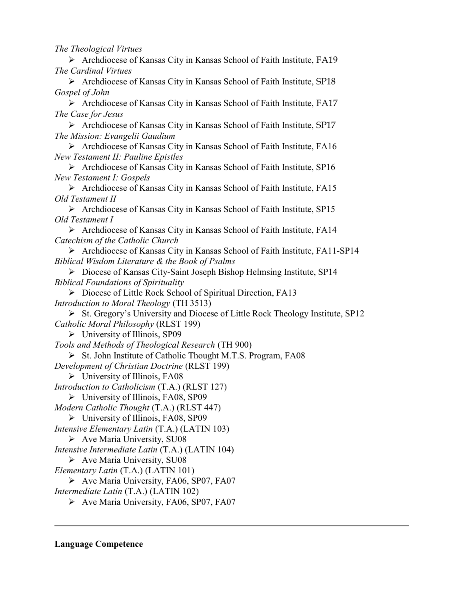The Theological Virtues

 Archdiocese of Kansas City in Kansas School of Faith Institute, FA19 The Cardinal Virtues

 Archdiocese of Kansas City in Kansas School of Faith Institute, SP18 Gospel of John

 Archdiocese of Kansas City in Kansas School of Faith Institute, FA17 The Case for Jesus

 Archdiocese of Kansas City in Kansas School of Faith Institute, SP17 The Mission: Evangelii Gaudium

 Archdiocese of Kansas City in Kansas School of Faith Institute, FA16 New Testament II: Pauline Epistles

 Archdiocese of Kansas City in Kansas School of Faith Institute, SP16 New Testament I: Gospels

 Archdiocese of Kansas City in Kansas School of Faith Institute, FA15 Old Testament II

 Archdiocese of Kansas City in Kansas School of Faith Institute, SP15 Old Testament I

 Archdiocese of Kansas City in Kansas School of Faith Institute, FA14 Catechism of the Catholic Church

 Archdiocese of Kansas City in Kansas School of Faith Institute, FA11-SP14 Biblical Wisdom Literature & the Book of Psalms

 Diocese of Kansas City-Saint Joseph Bishop Helmsing Institute, SP14 Biblical Foundations of Spirituality

▶ Diocese of Little Rock School of Spiritual Direction, FA13 Introduction to Moral Theology (TH 3513)

 $\triangleright$  St. Gregory's University and Diocese of Little Rock Theology Institute, SP12 Catholic Moral Philosophy (RLST 199)

 $\triangleright$  University of Illinois, SP09

Tools and Methods of Theological Research (TH 900)

 $\triangleright$  St. John Institute of Catholic Thought M.T.S. Program, FA08

Development of Christian Doctrine (RLST 199)

 $\triangleright$  University of Illinois, FA08

Introduction to Catholicism (T.A.) (RLST 127)

 $\triangleright$  University of Illinois, FA08, SP09

Modern Catholic Thought (T.A.) (RLST 447)

University of Illinois, FA08, SP09

Intensive Elementary Latin (T.A.) (LATIN 103)

 $\triangleright$  Ave Maria University, SU08

Intensive Intermediate Latin (T.A.) (LATIN 104)

 $\triangleright$  Ave Maria University, SU08

Elementary Latin (T.A.) (LATIN 101)

 $\triangleright$  Ave Maria University, FA06, SP07, FA07

Intermediate Latin (T.A.) (LATIN 102)

▶ Ave Maria University, FA06, SP07, FA07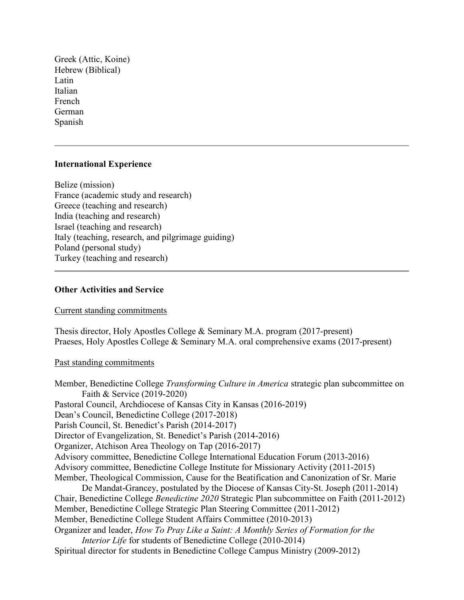Greek (Attic, Koine) Hebrew (Biblical) Latin Italian French German Spanish

### International Experience

Belize (mission) France (academic study and research) Greece (teaching and research) India (teaching and research) Israel (teaching and research) Italy (teaching, research, and pilgrimage guiding) Poland (personal study) Turkey (teaching and research)

#### Other Activities and Service

Current standing commitments

Thesis director, Holy Apostles College & Seminary M.A. program (2017-present) Praeses, Holy Apostles College & Seminary M.A. oral comprehensive exams (2017-present)

#### Past standing commitments

Member, Benedictine College Transforming Culture in America strategic plan subcommittee on Faith & Service (2019-2020) Pastoral Council, Archdiocese of Kansas City in Kansas (2016-2019) Dean's Council, Benedictine College (2017-2018) Parish Council, St. Benedict's Parish (2014-2017) Director of Evangelization, St. Benedict's Parish (2014-2016) Organizer, Atchison Area Theology on Tap (2016-2017) Advisory committee, Benedictine College International Education Forum (2013-2016) Advisory committee, Benedictine College Institute for Missionary Activity (2011-2015) Member, Theological Commission, Cause for the Beatification and Canonization of Sr. Marie De Mandat-Grancey, postulated by the Diocese of Kansas City-St. Joseph (2011-2014) Chair, Benedictine College Benedictine 2020 Strategic Plan subcommittee on Faith (2011-2012) Member, Benedictine College Strategic Plan Steering Committee (2011-2012) Member, Benedictine College Student Affairs Committee (2010-2013) Organizer and leader, How To Pray Like a Saint: A Monthly Series of Formation for the Interior Life for students of Benedictine College (2010-2014) Spiritual director for students in Benedictine College Campus Ministry (2009-2012)